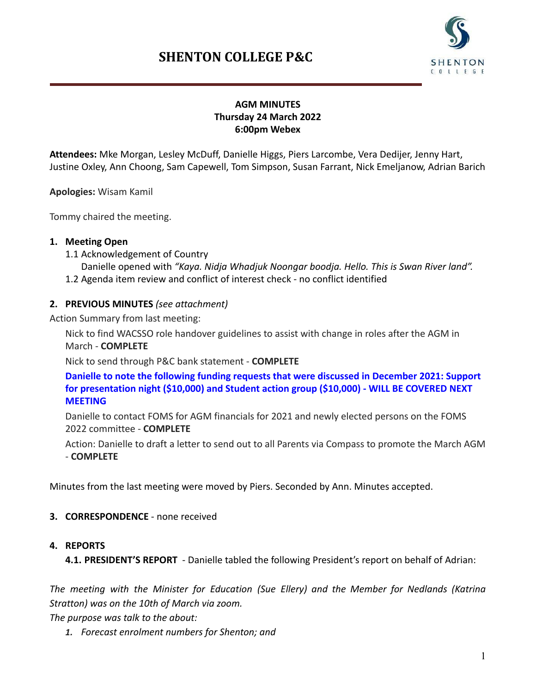# **SHENTON COLLEGE P&C**



### **AGM MINUTES Thursday 24 March 2022 6:00pm Webex**

**Attendees:** Mke Morgan, Lesley McDuff, Danielle Higgs, Piers Larcombe, Vera Dedijer, Jenny Hart, Justine Oxley, Ann Choong, Sam Capewell, Tom Simpson, Susan Farrant, Nick Emeljanow, Adrian Barich

**Apologies:** Wisam Kamil

Tommy chaired the meeting.

#### **1. Meeting Open**

1.1 Acknowledgement of Country

Danielle opened with *"Kaya. Nidja Whadjuk Noongar boodja. Hello. This is Swan River land".* 1.2 Agenda item review and conflict of interest check - no conflict identified

#### **2. PREVIOUS MINUTES** *(see attachment)*

Action Summary from last meeting:

Nick to find WACSSO role handover guidelines to assist with change in roles after the AGM in March - **COMPLETE**

Nick to send through P&C bank statement - **COMPLETE**

**Danielle to note the following funding requests that were discussed in December 2021: Support for presentation night (\$10,000) and Student action group (\$10,000) - WILL BE COVERED NEXT MEETING**

Danielle to contact FOMS for AGM financials for 2021 and newly elected persons on the FOMS 2022 committee - **COMPLETE**

Action: Danielle to draft a letter to send out to all Parents via Compass to promote the March AGM - **COMPLETE**

Minutes from the last meeting were moved by Piers. Seconded by Ann. Minutes accepted.

- **3. CORRESPONDENCE** none received
- **4. REPORTS**

**4.1. PRESIDENT'S REPORT** - Danielle tabled the following President's report on behalf of Adrian:

*The meeting with the Minister for Education (Sue Ellery) and the Member for Nedlands (Katrina Stratton) was on the 10th of March via zoom.*

*The purpose was talk to the about:*

*1. Forecast enrolment numbers for Shenton; and*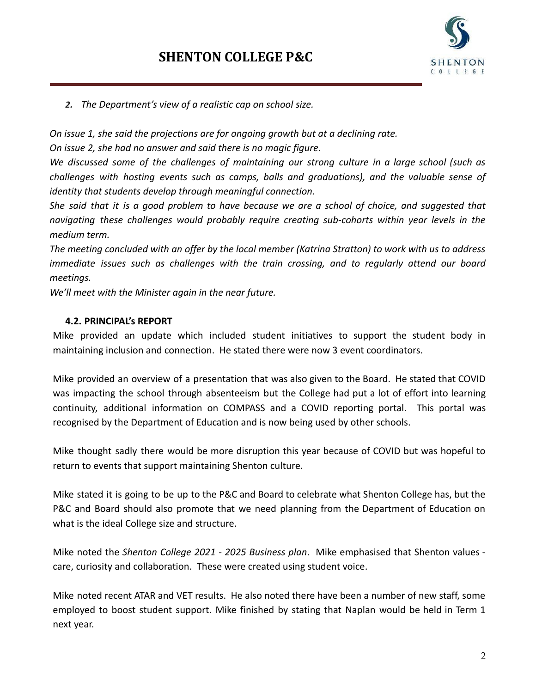

*2. The Department's view of a realistic cap on school size.*

*On issue 1, she said the projections are for ongoing growth but at a declining rate.*

*On issue 2, she had no answer and said there is no magic figure.*

*We discussed some of the challenges of maintaining our strong culture in a large school (such as challenges with hosting events such as camps, balls and graduations), and the valuable sense of identity that students develop through meaningful connection.*

She said that it is a good problem to have because we are a school of choice, and suggested that *navigating these challenges would probably require creating sub-cohorts within year levels in the medium term.*

The meeting concluded with an offer by the local member (Katrina Stratton) to work with us to address *immediate issues such as challenges with the train crossing, and to regularly attend our board meetings.*

*We'll meet with the Minister again in the near future.*

#### **4.2. PRINCIPAL's REPORT**

Mike provided an update which included student initiatives to support the student body in maintaining inclusion and connection. He stated there were now 3 event coordinators.

Mike provided an overview of a presentation that was also given to the Board. He stated that COVID was impacting the school through absenteeism but the College had put a lot of effort into learning continuity, additional information on COMPASS and a COVID reporting portal. This portal was recognised by the Department of Education and is now being used by other schools.

Mike thought sadly there would be more disruption this year because of COVID but was hopeful to return to events that support maintaining Shenton culture.

Mike stated it is going to be up to the P&C and Board to celebrate what Shenton College has, but the P&C and Board should also promote that we need planning from the Department of Education on what is the ideal College size and structure.

Mike noted the *Shenton College 2021 - 2025 Business plan*. Mike emphasised that Shenton values care, curiosity and collaboration. These were created using student voice.

Mike noted recent ATAR and VET results. He also noted there have been a number of new staff, some employed to boost student support. Mike finished by stating that Naplan would be held in Term 1 next year.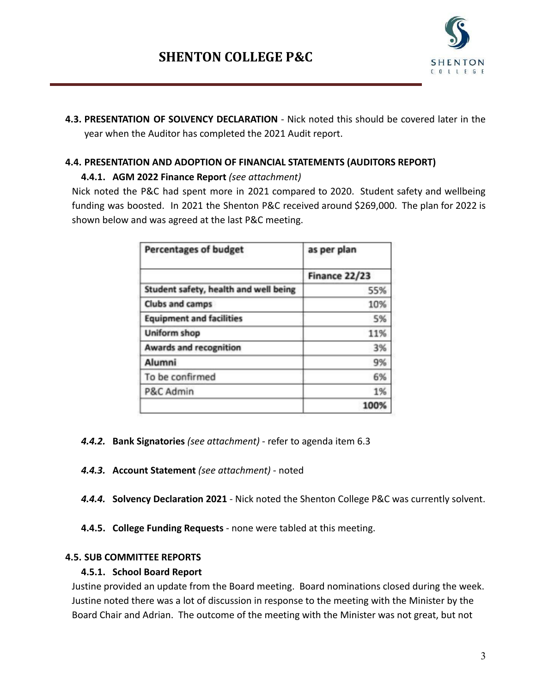

**4.3. PRESENTATION OF SOLVENCY DECLARATION** - Nick noted this should be covered later in the year when the Auditor has completed the 2021 Audit report.

## **4.4. PRESENTATION AND ADOPTION OF FINANCIAL STATEMENTS (AUDITORS REPORT)**

## **4.4.1. AGM 2022 Finance Report** *(see attachment)*

Nick noted the P&C had spent more in 2021 compared to 2020. Student safety and wellbeing funding was boosted. In 2021 the Shenton P&C received around \$269,000. The plan for 2022 is shown below and was agreed at the last P&C meeting.

| <b>Percentages of budget</b>          | as per plan   |
|---------------------------------------|---------------|
|                                       | Finance 22/23 |
| Student safety, health and well being | 55%           |
| Clubs and camps                       | 10%           |
| <b>Equipment and facilities</b>       | 5%            |
| Uniform shop                          | 11%           |
| <b>Awards and recognition</b>         | 3%            |
| Alumni                                | 9%            |
| To be confirmed                       | 6%            |
| P&C Admin                             | 1%            |
|                                       | 100%          |

- *4.4.2.* **Bank Signatories** *(see attachment)* refer to agenda item 6.3
- *4.4.3.* **Account Statement** *(see attachment)* noted
- *4.4.4.* **Solvency Declaration 2021** Nick noted the Shenton College P&C was currently solvent.
- **4.4.5. College Funding Requests** none were tabled at this meeting.

## **4.5. SUB COMMITTEE REPORTS**

## **4.5.1. School Board Report**

Justine provided an update from the Board meeting. Board nominations closed during the week. Justine noted there was a lot of discussion in response to the meeting with the Minister by the Board Chair and Adrian. The outcome of the meeting with the Minister was not great, but not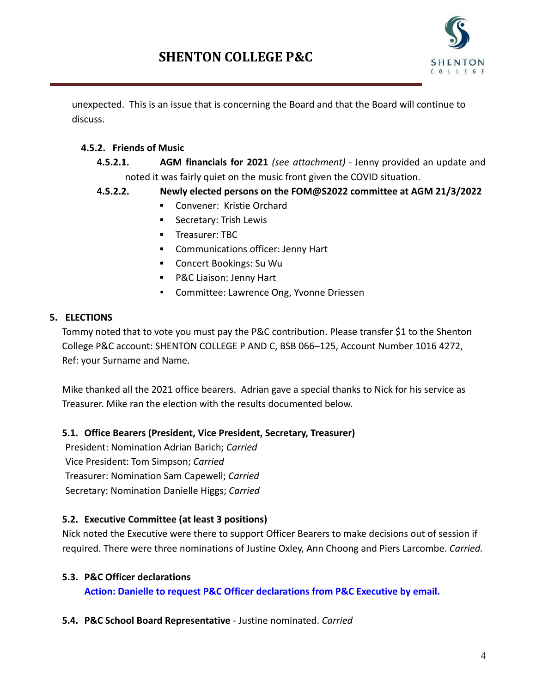

unexpected. This is an issue that is concerning the Board and that the Board will continue to discuss.

## **4.5.2. Friends of Music**

- **4.5.2.1. AGM financials for 2021** *(see attachment) -* Jenny provided an update and noted it was fairly quiet on the music front given the COVID situation.
- **4.5.2.2. Newly elected persons on the FOM@S2022 committee at AGM 21/3/2022**
	- **▪** Convener: Kristie Orchard
	- **▪** Secretary: Trish Lewis
	- **▪** Treasurer: TBC
	- **▪** Communications officer: Jenny Hart
	- **▪** Concert Bookings: Su Wu
	- **▪** P&C Liaison: Jenny Hart
	- Committee: Lawrence Ong, Yvonne Driessen

## **5. ELECTIONS**

Tommy noted that to vote you must pay the P&C contribution. Please transfer \$1 to the Shenton College P&C account: SHENTON COLLEGE P AND C, BSB 066–125, Account Number 1016 4272, Ref: your Surname and Name.

Mike thanked all the 2021 office bearers. Adrian gave a special thanks to Nick for his service as Treasurer. Mike ran the election with the results documented below.

## **5.1. Office Bearers (President, Vice President, Secretary, Treasurer)**

President: Nomination Adrian Barich; *Carried* Vice President: Tom Simpson; *Carried* Treasurer: Nomination Sam Capewell; *Carried* Secretary: Nomination Danielle Higgs; *Carried*

## **5.2. Executive Committee (at least 3 positions)**

Nick noted the Executive were there to support Officer Bearers to make decisions out of session if required. There were three nominations of Justine Oxley, Ann Choong and Piers Larcombe. *Carried.*

## **5.3. P&C Officer declarations**

**Action: Danielle to request P&C Officer declarations from P&C Executive by email.**

## **5.4. P&C School Board Representative** - Justine nominated. *Carried*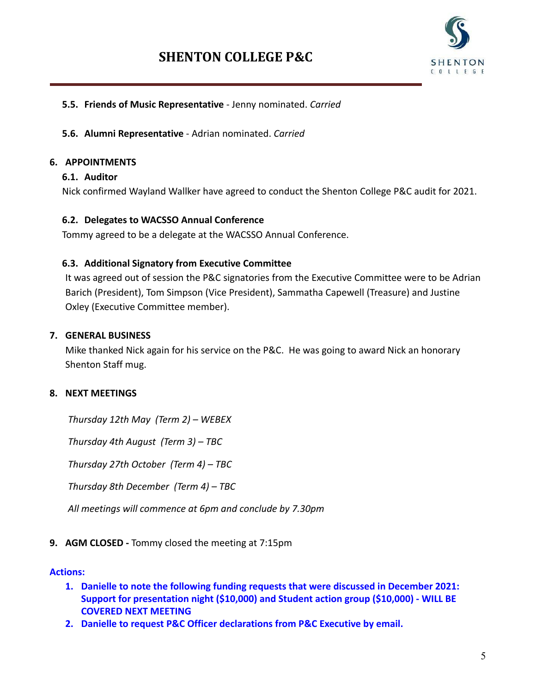

#### **5.5. Friends of Music Representative** - Jenny nominated. *Carried*

#### **5.6. Alumni Representative** - Adrian nominated. *Carried*

#### **6. APPOINTMENTS**

#### **6.1. Auditor**

Nick confirmed Wayland Wallker have agreed to conduct the Shenton College P&C audit for 2021.

#### **6.2. Delegates to WACSSO Annual Conference**

Tommy agreed to be a delegate at the WACSSO Annual Conference.

#### **6.3. Additional Signatory from Executive Committee**

It was agreed out of session the P&C signatories from the Executive Committee were to be Adrian Barich (President), Tom Simpson (Vice President), Sammatha Capewell (Treasure) and Justine Oxley (Executive Committee member).

#### **7. GENERAL BUSINESS**

Mike thanked Nick again for his service on the P&C. He was going to award Nick an honorary Shenton Staff mug.

#### **8. NEXT MEETINGS**

*Thursday 12th May (Term 2) – WEBEX*

*Thursday 4th August (Term 3) – TBC*

*Thursday 27th October (Term 4) – TBC*

*Thursday 8th December (Term 4) – TBC*

*All meetings will commence at 6pm and conclude by 7.30pm*

#### **9. AGM CLOSED -** Tommy closed the meeting at 7:15pm

#### **Actions:**

- **1. Danielle to note the following funding requests that were discussed in December 2021: Support for presentation night (\$10,000) and Student action group (\$10,000) - WILL BE COVERED NEXT MEETING**
- **2. Danielle to request P&C Officer declarations from P&C Executive by email.**